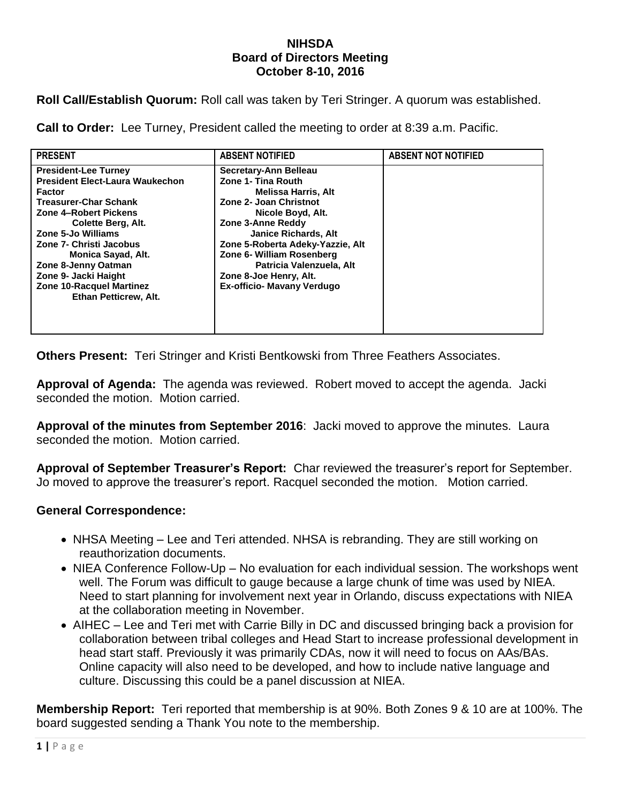## **NIHSDA Board of Directors Meeting October 8-10, 2016**

**Roll Call/Establish Quorum:** Roll call was taken by Teri Stringer. A quorum was established.

**Call to Order:** Lee Turney, President called the meeting to order at 8:39 a.m. Pacific.

| <b>PRESENT</b>                         | <b>ABSENT NOTIFIED</b>           | <b>ABSENT NOT NOTIFIED</b> |
|----------------------------------------|----------------------------------|----------------------------|
| <b>President-Lee Turney</b>            | Secretary-Ann Belleau            |                            |
| <b>President Elect-Laura Waukechon</b> | Zone 1- Tina Routh               |                            |
| <b>Factor</b>                          | <b>Melissa Harris, Alt</b>       |                            |
| <b>Treasurer-Char Schank</b>           | Zone 2- Joan Christnot           |                            |
| Zone 4-Robert Pickens                  | Nicole Boyd, Alt.                |                            |
| Colette Berg, Alt.                     | Zone 3-Anne Reddy                |                            |
| Zone 5-Jo Williams                     | <b>Janice Richards, Alt</b>      |                            |
| Zone 7- Christi Jacobus                | Zone 5-Roberta Adeky-Yazzie, Alt |                            |
| Monica Sayad, Alt.                     | Zone 6- William Rosenberg        |                            |
| Zone 8-Jenny Oatman                    | Patricia Valenzuela, Alt         |                            |
| Zone 9- Jacki Haight                   | Zone 8-Joe Henry, Alt.           |                            |
| <b>Zone 10-Racquel Martinez</b>        | Ex-officio- Mavany Verdugo       |                            |
| Ethan Petticrew, Alt.                  |                                  |                            |
|                                        |                                  |                            |
|                                        |                                  |                            |
|                                        |                                  |                            |

**Others Present:** Teri Stringer and Kristi Bentkowski from Three Feathers Associates.

**Approval of Agenda:** The agenda was reviewed. Robert moved to accept the agenda. Jacki seconded the motion. Motion carried.

**Approval of the minutes from September 2016**: Jacki moved to approve the minutes. Laura seconded the motion. Motion carried.

**Approval of September Treasurer's Report:** Char reviewed the treasurer's report for September. Jo moved to approve the treasurer's report. Racquel seconded the motion. Motion carried.

## **General Correspondence:**

- NHSA Meeting Lee and Teri attended. NHSA is rebranding. They are still working on reauthorization documents.
- NIEA Conference Follow-Up No evaluation for each individual session. The workshops went well. The Forum was difficult to gauge because a large chunk of time was used by NIEA. Need to start planning for involvement next year in Orlando, discuss expectations with NIEA at the collaboration meeting in November.
- AIHEC Lee and Teri met with Carrie Billy in DC and discussed bringing back a provision for collaboration between tribal colleges and Head Start to increase professional development in head start staff. Previously it was primarily CDAs, now it will need to focus on AAs/BAs. Online capacity will also need to be developed, and how to include native language and culture. Discussing this could be a panel discussion at NIEA.

**Membership Report:** Teri reported that membership is at 90%. Both Zones 9 & 10 are at 100%. The board suggested sending a Thank You note to the membership.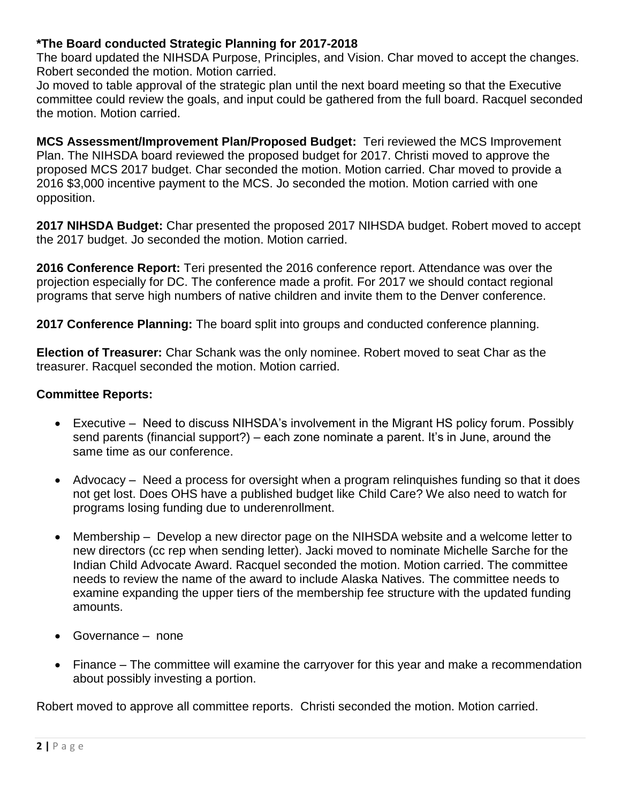## **\*The Board conducted Strategic Planning for 2017-2018**

The board updated the NIHSDA Purpose, Principles, and Vision. Char moved to accept the changes. Robert seconded the motion. Motion carried.

Jo moved to table approval of the strategic plan until the next board meeting so that the Executive committee could review the goals, and input could be gathered from the full board. Racquel seconded the motion. Motion carried.

**MCS Assessment/Improvement Plan/Proposed Budget:** Teri reviewed the MCS Improvement Plan. The NIHSDA board reviewed the proposed budget for 2017. Christi moved to approve the proposed MCS 2017 budget. Char seconded the motion. Motion carried. Char moved to provide a 2016 \$3,000 incentive payment to the MCS. Jo seconded the motion. Motion carried with one opposition.

**2017 NIHSDA Budget:** Char presented the proposed 2017 NIHSDA budget. Robert moved to accept the 2017 budget. Jo seconded the motion. Motion carried.

**2016 Conference Report:** Teri presented the 2016 conference report. Attendance was over the projection especially for DC. The conference made a profit. For 2017 we should contact regional programs that serve high numbers of native children and invite them to the Denver conference.

**2017 Conference Planning:** The board split into groups and conducted conference planning.

**Election of Treasurer:** Char Schank was the only nominee. Robert moved to seat Char as the treasurer. Racquel seconded the motion. Motion carried.

## **Committee Reports:**

- Executive Need to discuss NIHSDA's involvement in the Migrant HS policy forum. Possibly send parents (financial support?) – each zone nominate a parent. It's in June, around the same time as our conference.
- Advocacy Need a process for oversight when a program relinguishes funding so that it does not get lost. Does OHS have a published budget like Child Care? We also need to watch for programs losing funding due to underenrollment.
- Membership Develop a new director page on the NIHSDA website and a welcome letter to new directors (cc rep when sending letter). Jacki moved to nominate Michelle Sarche for the Indian Child Advocate Award. Racquel seconded the motion. Motion carried. The committee needs to review the name of the award to include Alaska Natives. The committee needs to examine expanding the upper tiers of the membership fee structure with the updated funding amounts.
- Governance none
- Finance The committee will examine the carryover for this year and make a recommendation about possibly investing a portion.

Robert moved to approve all committee reports. Christi seconded the motion. Motion carried.